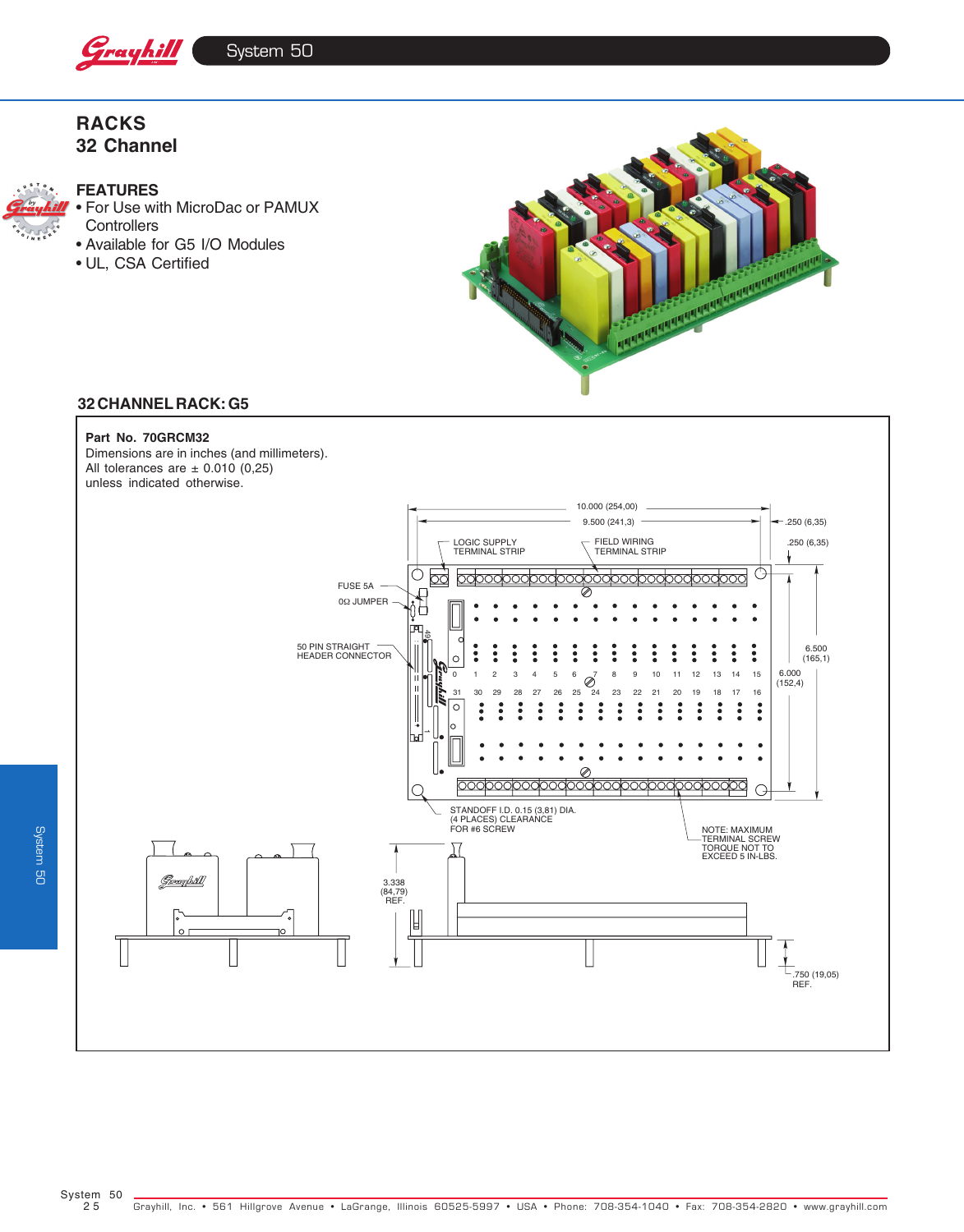

## **RACKS 32 Channel**



#### **FEATURES**

• For Use with MicroDac or PAMUX **Controllers** 

• Available for G5 I/O Modules • UL, CSA Certified



## **32 CHANNEL RACK: G5**

#### **Part No. 70GRCM32**

Dimensions are in inches (and millimeters). All tolerances are  $\pm$  0.010 (0,25) unless indicated otherwise.



System 50

**System 50**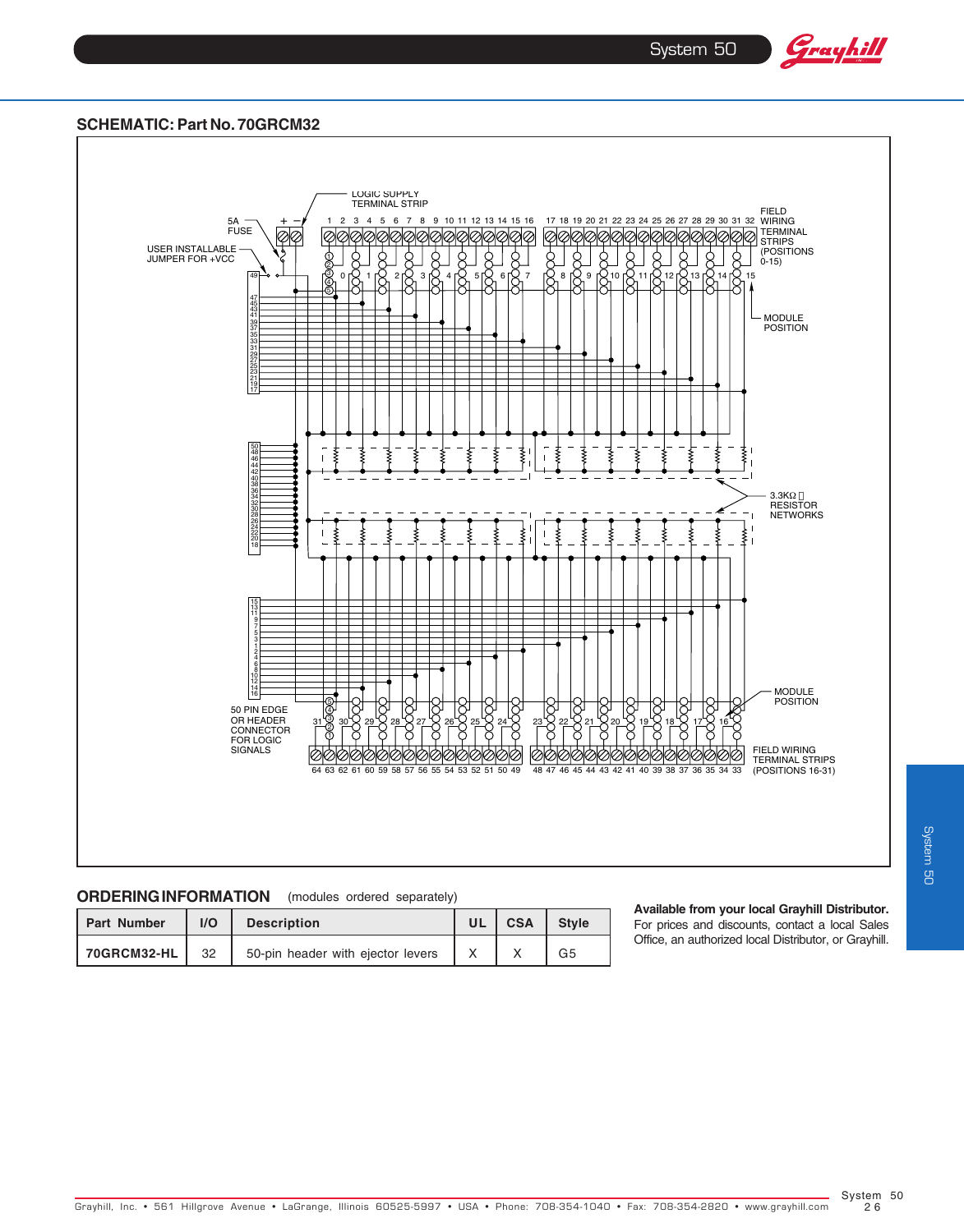System 50

Grayhill

### **SCHEMATIC: Part No. 70GRCM32**



## **ORDERING INFORMATION** (modules ordered separately)

| <b>Part Number</b> | I/O | <b>Description</b>                | <b>CSA</b> | <b>Style</b> |
|--------------------|-----|-----------------------------------|------------|--------------|
| 70GRCM32-HL        | 32  | 50-pin header with ejector levers |            | G5           |

**Available from your local Grayhill Distributor.** For prices and discounts, contact a local Sales Office, an authorized local Distributor, or Grayhill.

System 50  $26$